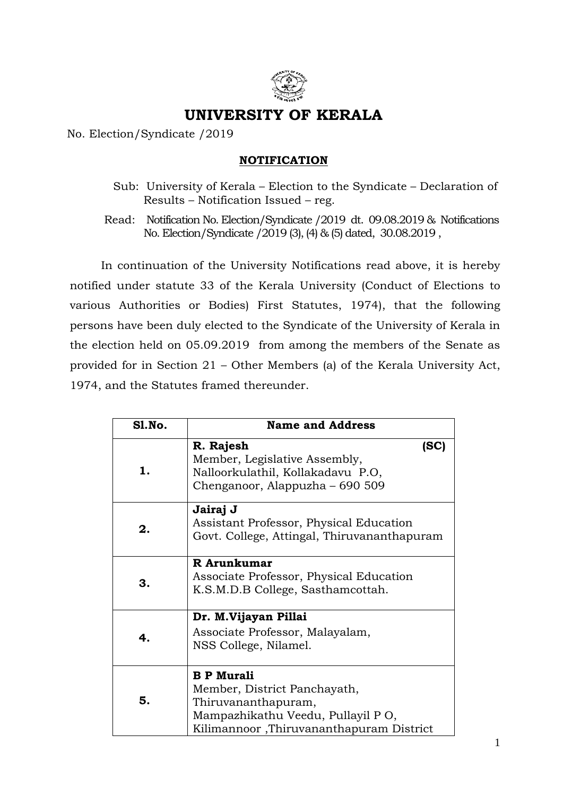

## **UNIVERSITY OF KERALA**

No. Election/Syndicate /2019

## **NOTIFICATION**

- Sub: University of Kerala Election to the Syndicate Declaration of Results – Notification Issued – reg.
- Read: Notification No. Election/Syndicate /2019 dt. 09.08.2019 & Notifications No. Election/Syndicate /2019 (3), (4) & (5) dated, 30.08.2019 ,

In continuation of the University Notifications read above, it is hereby notified under statute 33 of the Kerala University (Conduct of Elections to various Authorities or Bodies) First Statutes, 1974), that the following persons have been duly elected to the Syndicate of the University of Kerala in the election held on 05.09.2019 from among the members of the Senate as provided for in Section 21 – Other Members (a) of the Kerala University Act, 1974, and the Statutes framed thereunder.

| S1.No. | <b>Name and Address</b>                                                                                                                                   |      |
|--------|-----------------------------------------------------------------------------------------------------------------------------------------------------------|------|
| 1.     | R. Rajesh<br>Member, Legislative Assembly,<br>Nalloorkulathil, Kollakadavu P.O,<br>Chenganoor, Alappuzha – 690 509                                        | (SC) |
| 2.     | Jairaj J<br>Assistant Professor, Physical Education<br>Govt. College, Attingal, Thiruvananthapuram                                                        |      |
| З.     | R Arunkumar<br>Associate Professor, Physical Education<br>K.S.M.D.B College, Sastham cottah.                                                              |      |
| 4.     | Dr. M.Vijayan Pillai<br>Associate Professor, Malayalam,<br>NSS College, Nilamel.                                                                          |      |
| 5.     | <b>B</b> P Murali<br>Member, District Panchayath,<br>Thiruvananthapuram,<br>Mampazhikathu Veedu, Pullayil PO,<br>Kilimannoor, Thiruvananthapuram District |      |